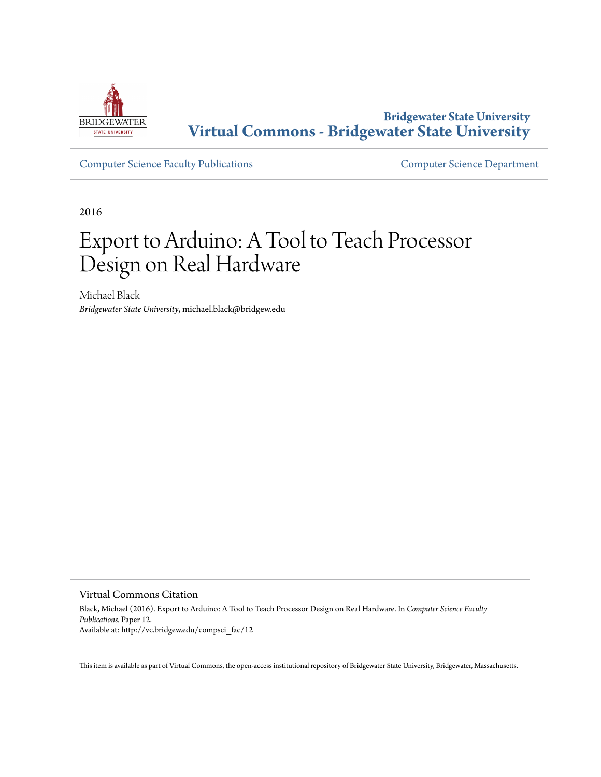

**Bridgewater State University [Virtual Commons - Bridgewater State University](http://vc.bridgew.edu)**

[Computer Science Faculty Publications](http://vc.bridgew.edu/compsci_fac) [Computer Science Department](http://vc.bridgew.edu/compsci)

2016

# Export to Arduino: A Tool to Teach Processor Design on Real Hardware

Michael Black *Bridgewater State University*, michael.black@bridgew.edu

#### Virtual Commons Citation

Black, Michael (2016). Export to Arduino: A Tool to Teach Processor Design on Real Hardware. In *Computer Science Faculty Publications.* Paper 12. Available at: http://vc.bridgew.edu/compsci\_fac/12

This item is available as part of Virtual Commons, the open-access institutional repository of Bridgewater State University, Bridgewater, Massachusetts.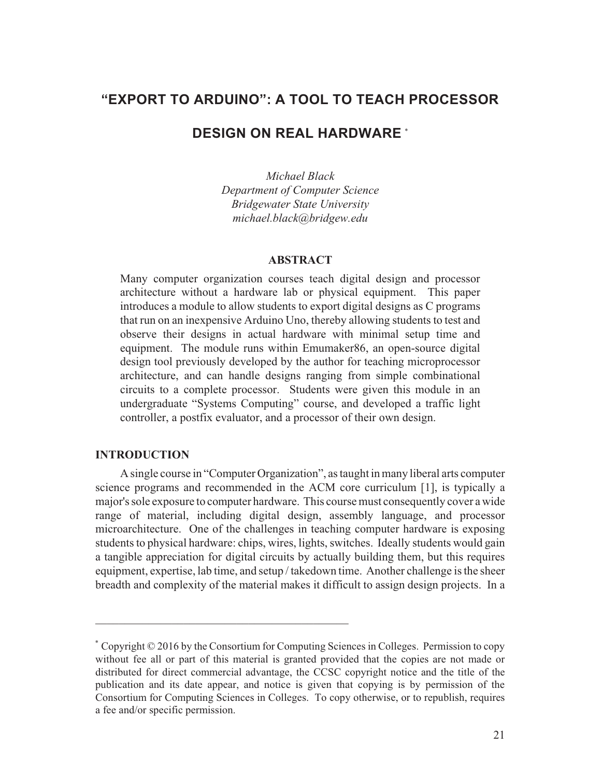# **"EXPORT TO ARDUINO": A TOOL TO TEACH PROCESSOR**

# **DESIGN ON REAL HARDWARE** \*

*Michael Black Department of Computer Science Bridgewater State University michael.black@bridgew.edu*

#### **ABSTRACT**

Many computer organization courses teach digital design and processor architecture without a hardware lab or physical equipment. This paper introduces a module to allow students to export digital designs as C programs that run on an inexpensive Arduino Uno, thereby allowing students to test and observe their designs in actual hardware with minimal setup time and equipment. The module runs within Emumaker86, an open-source digital design tool previously developed by the author for teaching microprocessor architecture, and can handle designs ranging from simple combinational circuits to a complete processor. Students were given this module in an undergraduate "Systems Computing" course, and developed a traffic light controller, a postfix evaluator, and a processor of their own design.

## **INTRODUCTION**

A single course in "Computer Organization", as taught in many liberal arts computer science programs and recommended in the ACM core curriculum [1], is typically a major's sole exposure to computer hardware. This course must consequently cover a wide range of material, including digital design, assembly language, and processor microarchitecture. One of the challenges in teaching computer hardware is exposing students to physical hardware: chips, wires, lights, switches. Ideally students would gain a tangible appreciation for digital circuits by actually building them, but this requires equipment, expertise, lab time, and setup / takedown time. Another challenge is the sheer breadth and complexity of the material makes it difficult to assign design projects. In a

 $\mathcal{L}_\mathcal{L} = \{ \mathcal{L}_\mathcal{L} = \{ \mathcal{L}_\mathcal{L} = \{ \mathcal{L}_\mathcal{L} = \{ \mathcal{L}_\mathcal{L} = \{ \mathcal{L}_\mathcal{L} = \{ \mathcal{L}_\mathcal{L} = \{ \mathcal{L}_\mathcal{L} = \{ \mathcal{L}_\mathcal{L} = \{ \mathcal{L}_\mathcal{L} = \{ \mathcal{L}_\mathcal{L} = \{ \mathcal{L}_\mathcal{L} = \{ \mathcal{L}_\mathcal{L} = \{ \mathcal{L}_\mathcal{L} = \{ \mathcal{L}_\mathcal{$ 

Copyright © 2016 by the Consortium for Computing Sciences in Colleges. Permission to copy \* without fee all or part of this material is granted provided that the copies are not made or distributed for direct commercial advantage, the CCSC copyright notice and the title of the publication and its date appear, and notice is given that copying is by permission of the Consortium for Computing Sciences in Colleges. To copy otherwise, or to republish, requires a fee and/or specific permission.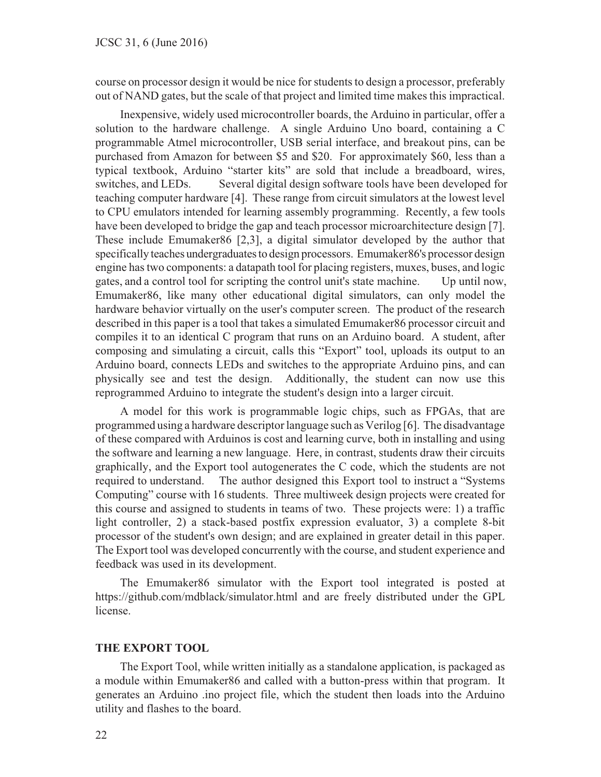course on processor design it would be nice for students to design a processor, preferably out of NAND gates, but the scale of that project and limited time makes this impractical.

Inexpensive, widely used microcontroller boards, the Arduino in particular, offer a solution to the hardware challenge. A single Arduino Uno board, containing a C programmable Atmel microcontroller, USB serial interface, and breakout pins, can be purchased from Amazon for between \$5 and \$20. For approximately \$60, less than a typical textbook, Arduino "starter kits" are sold that include a breadboard, wires, switches, and LEDs. Several digital design software tools have been developed for teaching computer hardware [4]. These range from circuit simulators at the lowest level to CPU emulators intended for learning assembly programming. Recently, a few tools have been developed to bridge the gap and teach processor microarchitecture design [7]. These include Emumaker86 [2,3], a digital simulator developed by the author that specifically teaches undergraduates to design processors. Emumaker86's processor design engine has two components: a datapath tool for placing registers, muxes, buses, and logic gates, and a control tool for scripting the control unit's state machine. Up until now, Emumaker86, like many other educational digital simulators, can only model the hardware behavior virtually on the user's computer screen. The product of the research described in this paper is a tool that takes a simulated Emumaker86 processor circuit and compiles it to an identical C program that runs on an Arduino board. A student, after composing and simulating a circuit, calls this "Export" tool, uploads its output to an Arduino board, connects LEDs and switches to the appropriate Arduino pins, and can physically see and test the design. Additionally, the student can now use this reprogrammed Arduino to integrate the student's design into a larger circuit.

A model for this work is programmable logic chips, such as FPGAs, that are programmed using a hardware descriptor language such as Verilog [6]. The disadvantage of these compared with Arduinos is cost and learning curve, both in installing and using the software and learning a new language. Here, in contrast, students draw their circuits graphically, and the Export tool autogenerates the C code, which the students are not required to understand. The author designed this Export tool to instruct a "Systems Computing" course with 16 students. Three multiweek design projects were created for this course and assigned to students in teams of two. These projects were: 1) a traffic light controller, 2) a stack-based postfix expression evaluator, 3) a complete 8-bit processor of the student's own design; and are explained in greater detail in this paper. The Export tool was developed concurrently with the course, and student experience and feedback was used in its development.

The Emumaker86 simulator with the Export tool integrated is posted at https://github.com/mdblack/simulator.html and are freely distributed under the GPL license.

#### **THE EXPORT TOOL**

The Export Tool, while written initially as a standalone application, is packaged as a module within Emumaker86 and called with a button-press within that program. It generates an Arduino .ino project file, which the student then loads into the Arduino utility and flashes to the board.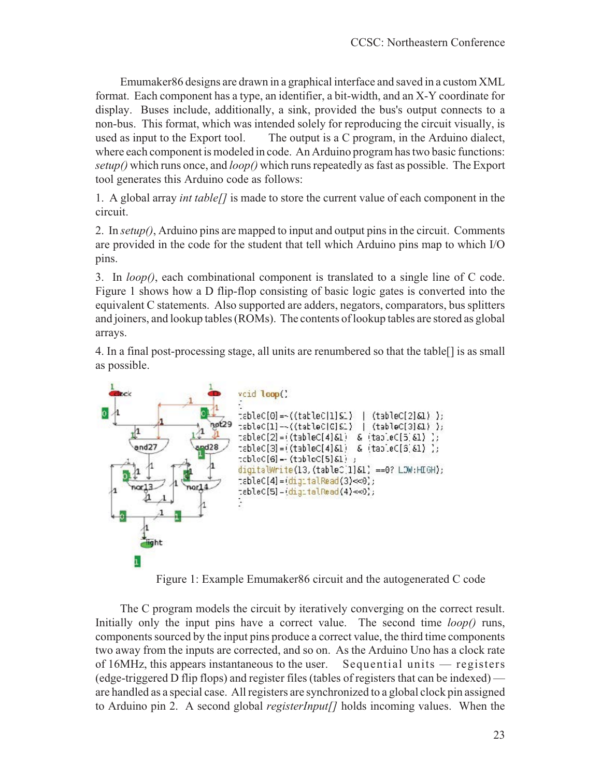Emumaker86 designs are drawn in a graphical interface and saved in a custom XML format. Each component has a type, an identifier, a bit-width, and an X-Y coordinate for display. Buses include, additionally, a sink, provided the bus's output connects to a non-bus. This format, which was intended solely for reproducing the circuit visually, is used as input to the Export tool. The output is a C program, in the Arduino dialect, where each component is modeled in code. An Arduino program has two basic functions: *setup()* which runs once, and *loop()* which runs repeatedly as fast as possible. The Export tool generates this Arduino code as follows:

1. A global array *int table[]* is made to store the current value of each component in the circuit.

2. In *setup()*, Arduino pins are mapped to input and output pins in the circuit. Comments are provided in the code for the student that tell which Arduino pins map to which I/O pins.

3. In *loop()*, each combinational component is translated to a single line of C code. Figure 1 shows how a D flip-flop consisting of basic logic gates is converted into the equivalent C statements. Also supported are adders, negators, comparators, bus splitters and joiners, and lookup tables (ROMs). The contents of lookup tables are stored as global arrays.

4. In a final post-processing stage, all units are renumbered so that the table[] is as small as possible.



Figure 1: Example Emumaker86 circuit and the autogenerated C code

The C program models the circuit by iteratively converging on the correct result. Initially only the input pins have a correct value. The second time *loop()* runs, components sourced by the input pins produce a correct value, the third time components two away from the inputs are corrected, and so on. As the Arduino Uno has a clock rate of 16MHz, this appears instantaneous to the user. Sequential units — registers (edge-triggered D flip flops) and register files (tables of registers that can be indexed) are handled as a special case. All registers are synchronized to a global clock pin assigned to Arduino pin 2. A second global *registerInput[]* holds incoming values. When the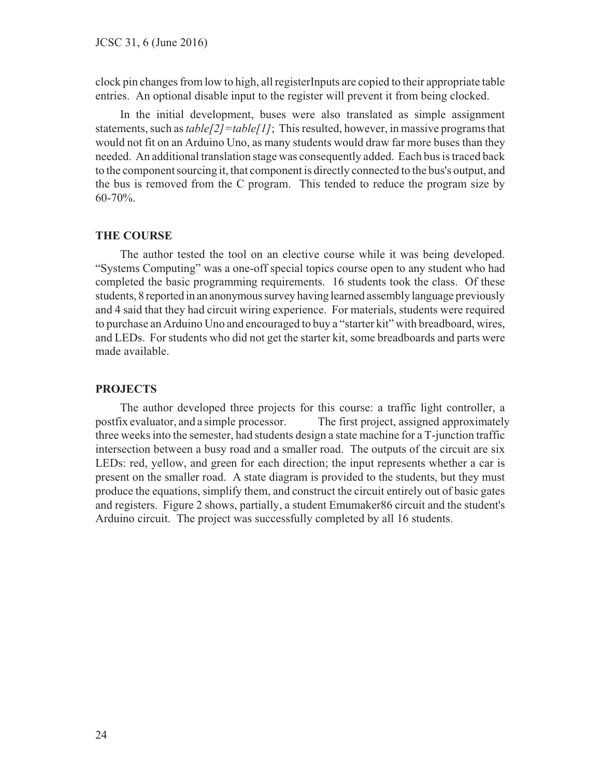clock pin changes from low to high, all registerInputs are copied to their appropriate table entries. An optional disable input to the register will prevent it from being clocked.

In the initial development, buses were also translated as simple assignment statements, such as *table[2]=table[1]*; This resulted, however, in massive programs that would not fit on an Arduino Uno, as many students would draw far more buses than they needed. An additional translation stage was consequently added. Each bus is traced back to the component sourcing it, that component is directly connected to the bus's output, and the bus is removed from the C program. This tended to reduce the program size by 60-70%.

#### **THE COURSE**

The author tested the tool on an elective course while it was being developed. "Systems Computing" was a one-off special topics course open to any student who had completed the basic programming requirements. 16 students took the class. Of these students, 8 reported in an anonymous survey having learned assembly language previously and 4 said that they had circuit wiring experience. For materials, students were required to purchase an Arduino Uno and encouraged to buy a "starter kit" with breadboard, wires, and LEDs. For students who did not get the starter kit, some breadboards and parts were made available.

#### **PROJECTS**

The author developed three projects for this course: a traffic light controller, a postfix evaluator, and a simple processor. The first project, assigned approximately three weeks into the semester, had students design a state machine for a T-junction traffic intersection between a busy road and a smaller road. The outputs of the circuit are six LEDs: red, yellow, and green for each direction; the input represents whether a car is present on the smaller road. A state diagram is provided to the students, but they must produce the equations, simplify them, and construct the circuit entirely out of basic gates and registers. Figure 2 shows, partially, a student Emumaker86 circuit and the student's Arduino circuit. The project was successfully completed by all 16 students.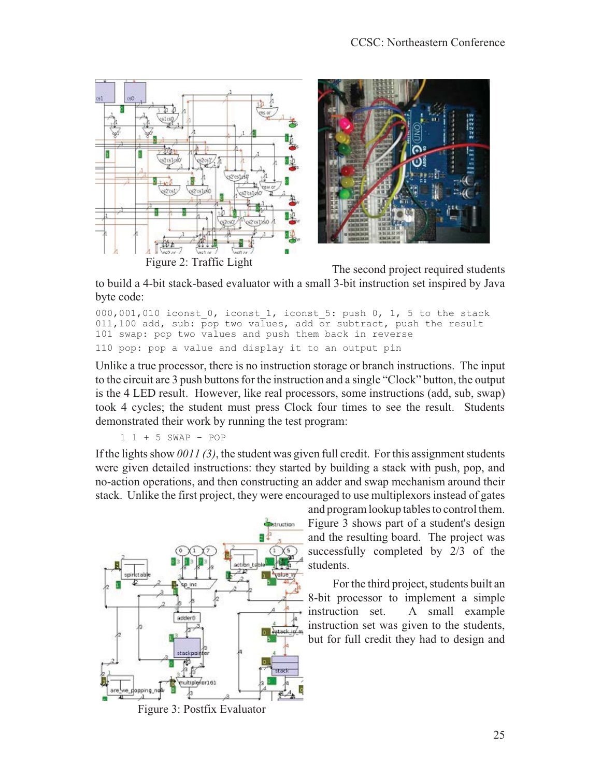

to build a 4-bit stack-based evaluator with a small 3-bit instruction set inspired by Java byte code:

 $000,001,010$  iconst  $0$ , iconst  $1$ , iconst  $5$ : push  $0$ ,  $1$ ,  $5$  to the stack 011,100 add, sub: pop two values, add or subtract, push the result 101 swap: pop two values and push them back in reverse 110 pop: pop a value and display it to an output pin

Unlike a true processor, there is no instruction storage or branch instructions. The input to the circuit are 3 push buttons for the instruction and a single "Clock" button, the output is the 4 LED result. However, like real processors, some instructions (add, sub, swap) took 4 cycles; the student must press Clock four times to see the result. Students demonstrated their work by running the test program:

1 1 + 5 SWAP - POP

If the lights show *0011 (3)*, the student was given full credit. For this assignment students were given detailed instructions: they started by building a stack with push, pop, and no-action operations, and then constructing an adder and swap mechanism around their stack. Unlike the first project, they were encouraged to use multiplexors instead of gates



and program lookup tables to control them. Figure 3 shows part of a student's design and the resulting board. The project was successfully completed by 2/3 of the students.

For the third project, students built an 8-bit processor to implement a simple instruction set. A small example instruction set was given to the students, but for full credit they had to design and